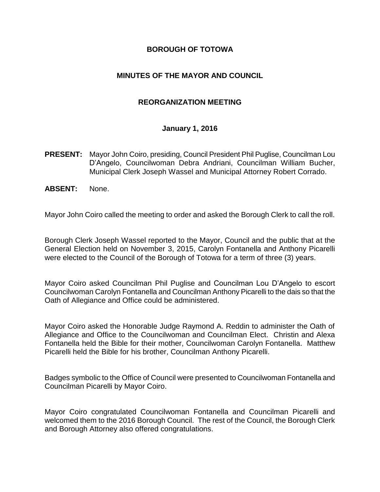#### **BOROUGH OF TOTOWA**

#### **MINUTES OF THE MAYOR AND COUNCIL**

#### **REORGANIZATION MEETING**

#### **January 1, 2016**

- **PRESENT:** Mayor John Coiro, presiding, Council President Phil Puglise, Councilman Lou D'Angelo, Councilwoman Debra Andriani, Councilman William Bucher, Municipal Clerk Joseph Wassel and Municipal Attorney Robert Corrado.
- **ABSENT:** None.

Mayor John Coiro called the meeting to order and asked the Borough Clerk to call the roll.

Borough Clerk Joseph Wassel reported to the Mayor, Council and the public that at the General Election held on November 3, 2015, Carolyn Fontanella and Anthony Picarelli were elected to the Council of the Borough of Totowa for a term of three (3) years.

Mayor Coiro asked Councilman Phil Puglise and Councilman Lou D'Angelo to escort Councilwoman Carolyn Fontanella and Councilman Anthony Picarelli to the dais so that the Oath of Allegiance and Office could be administered.

Mayor Coiro asked the Honorable Judge Raymond A. Reddin to administer the Oath of Allegiance and Office to the Councilwoman and Councilman Elect. Christin and Alexa Fontanella held the Bible for their mother, Councilwoman Carolyn Fontanella. Matthew Picarelli held the Bible for his brother, Councilman Anthony Picarelli.

Badges symbolic to the Office of Council were presented to Councilwoman Fontanella and Councilman Picarelli by Mayor Coiro.

Mayor Coiro congratulated Councilwoman Fontanella and Councilman Picarelli and welcomed them to the 2016 Borough Council. The rest of the Council, the Borough Clerk and Borough Attorney also offered congratulations.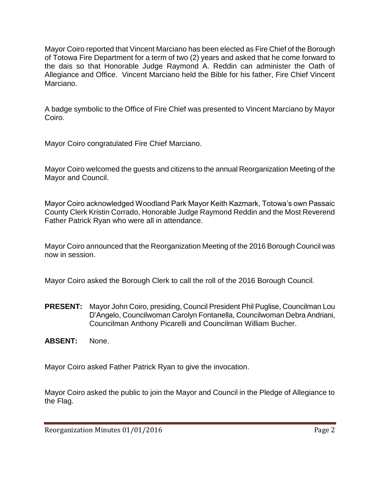Mayor Coiro reported that Vincent Marciano has been elected as Fire Chief of the Borough of Totowa Fire Department for a term of two (2) years and asked that he come forward to the dais so that Honorable Judge Raymond A. Reddin can administer the Oath of Allegiance and Office. Vincent Marciano held the Bible for his father, Fire Chief Vincent Marciano.

A badge symbolic to the Office of Fire Chief was presented to Vincent Marciano by Mayor Coiro.

Mayor Coiro congratulated Fire Chief Marciano.

Mayor Coiro welcomed the guests and citizens to the annual Reorganization Meeting of the Mayor and Council.

Mayor Coiro acknowledged Woodland Park Mayor Keith Kazmark, Totowa's own Passaic County Clerk Kristin Corrado, Honorable Judge Raymond Reddin and the Most Reverend Father Patrick Ryan who were all in attendance.

Mayor Coiro announced that the Reorganization Meeting of the 2016 Borough Council was now in session.

Mayor Coiro asked the Borough Clerk to call the roll of the 2016 Borough Council.

- **PRESENT:** Mayor John Coiro, presiding, Council President Phil Puglise, Councilman Lou D'Angelo, Councilwoman Carolyn Fontanella, Councilwoman Debra Andriani, Councilman Anthony Picarelli and Councilman William Bucher.
- **ABSENT:** None.

Mayor Coiro asked Father Patrick Ryan to give the invocation.

Mayor Coiro asked the public to join the Mayor and Council in the Pledge of Allegiance to the Flag.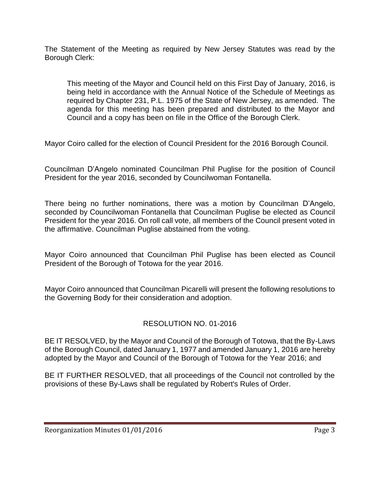The Statement of the Meeting as required by New Jersey Statutes was read by the Borough Clerk:

This meeting of the Mayor and Council held on this First Day of January, 2016, is being held in accordance with the Annual Notice of the Schedule of Meetings as required by Chapter 231, P.L. 1975 of the State of New Jersey, as amended. The agenda for this meeting has been prepared and distributed to the Mayor and Council and a copy has been on file in the Office of the Borough Clerk.

Mayor Coiro called for the election of Council President for the 2016 Borough Council.

Councilman D'Angelo nominated Councilman Phil Puglise for the position of Council President for the year 2016, seconded by Councilwoman Fontanella.

There being no further nominations, there was a motion by Councilman D'Angelo, seconded by Councilwoman Fontanella that Councilman Puglise be elected as Council President for the year 2016. On roll call vote, all members of the Council present voted in the affirmative. Councilman Puglise abstained from the voting.

Mayor Coiro announced that Councilman Phil Puglise has been elected as Council President of the Borough of Totowa for the year 2016.

Mayor Coiro announced that Councilman Picarelli will present the following resolutions to the Governing Body for their consideration and adoption.

# RESOLUTION NO. 01-2016

BE IT RESOLVED, by the Mayor and Council of the Borough of Totowa, that the By-Laws of the Borough Council, dated January 1, 1977 and amended January 1, 2016 are hereby adopted by the Mayor and Council of the Borough of Totowa for the Year 2016; and

BE IT FURTHER RESOLVED, that all proceedings of the Council not controlled by the provisions of these By-Laws shall be regulated by Robert's Rules of Order.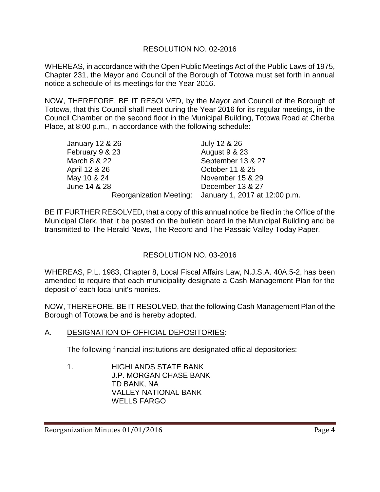# RESOLUTION NO. 02-2016

WHEREAS, in accordance with the Open Public Meetings Act of the Public Laws of 1975, Chapter 231, the Mayor and Council of the Borough of Totowa must set forth in annual notice a schedule of its meetings for the Year 2016.

NOW, THEREFORE, BE IT RESOLVED, by the Mayor and Council of the Borough of Totowa, that this Council shall meet during the Year 2016 for its regular meetings, in the Council Chamber on the second floor in the Municipal Building, Totowa Road at Cherba Place, at 8:00 p.m., in accordance with the following schedule:

| <b>January 12 &amp; 26</b> | July 12 & 26                                          |
|----------------------------|-------------------------------------------------------|
| February 9 & 23            | <b>August 9 &amp; 23</b>                              |
| March 8 & 22               | September 13 & 27                                     |
| April 12 & 26              | October 11 & 25                                       |
| May 10 & 24                | November 15 & 29                                      |
| June 14 & 28               | December 13 & 27                                      |
|                            | Reorganization Meeting: January 1, 2017 at 12:00 p.m. |

BE IT FURTHER RESOLVED, that a copy of this annual notice be filed in the Office of the Municipal Clerk, that it be posted on the bulletin board in the Municipal Building and be transmitted to The Herald News, The Record and The Passaic Valley Today Paper.

# RESOLUTION NO. 03-2016

WHEREAS, P.L. 1983, Chapter 8, Local Fiscal Affairs Law, N.J.S.A. 40A:5-2, has been amended to require that each municipality designate a Cash Management Plan for the deposit of each local unit's monies.

NOW, THEREFORE, BE IT RESOLVED, that the following Cash Management Plan of the Borough of Totowa be and is hereby adopted.

A. DESIGNATION OF OFFICIAL DEPOSITORIES:

The following financial institutions are designated official depositories:

1. HIGHLANDS STATE BANK J.P. MORGAN CHASE BANK TD BANK, NA VALLEY NATIONAL BANK WELLS FARGO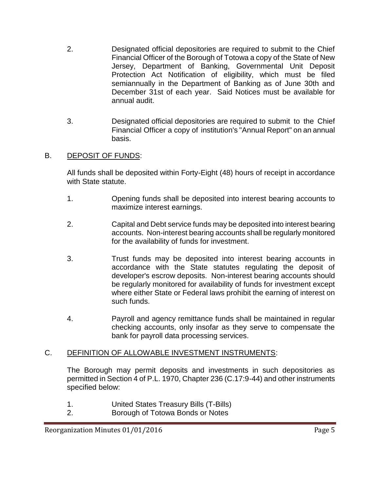- 2. Designated official depositories are required to submit to the Chief Financial Officer of the Borough of Totowa a copy of the State of New Jersey, Department of Banking, Governmental Unit Deposit Protection Act Notification of eligibility, which must be filed semiannually in the Department of Banking as of June 30th and December 31st of each year. Said Notices must be available for annual audit.
- 3. Designated official depositories are required to submit to the Chief Financial Officer a copy of institution's "Annual Report" on an annual basis.

# B. DEPOSIT OF FUNDS:

All funds shall be deposited within Forty-Eight (48) hours of receipt in accordance with State statute.

- 1. Opening funds shall be deposited into interest bearing accounts to maximize interest earnings.
- 2. Capital and Debt service funds may be deposited into interest bearing accounts. Non-interest bearing accounts shall be regularly monitored for the availability of funds for investment.
- 3. Trust funds may be deposited into interest bearing accounts in accordance with the State statutes regulating the deposit of developer's escrow deposits. Non-interest bearing accounts should be regularly monitored for availability of funds for investment except where either State or Federal laws prohibit the earning of interest on such funds.
- 4. Payroll and agency remittance funds shall be maintained in regular checking accounts, only insofar as they serve to compensate the bank for payroll data processing services.

# C. DEFINITION OF ALLOWABLE INVESTMENT INSTRUMENTS:

The Borough may permit deposits and investments in such depositories as permitted in Section 4 of P.L. 1970, Chapter 236 (C.17:9-44) and other instruments specified below:

- 1. United States Treasury Bills (T-Bills)
- 2. Borough of Totowa Bonds or Notes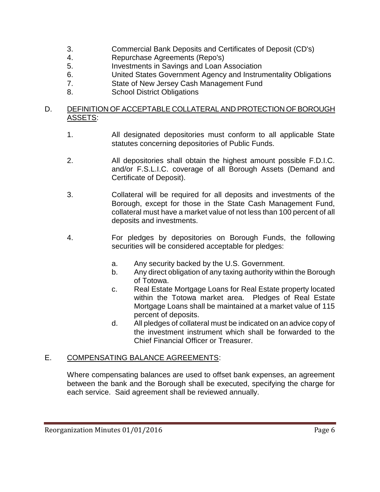- 3. Commercial Bank Deposits and Certificates of Deposit (CD's)
- 4. Repurchase Agreements (Repo's)
- 5. Investments in Savings and Loan Association
- 6. United States Government Agency and Instrumentality Obligations
- 7. State of New Jersey Cash Management Fund
- 8. School District Obligations

#### D. DEFINITION OF ACCEPTABLE COLLATERAL AND PROTECTION OF BOROUGH ASSETS:

- 1. All designated depositories must conform to all applicable State statutes concerning depositories of Public Funds.
- 2. All depositories shall obtain the highest amount possible F.D.I.C. and/or F.S.L.I.C. coverage of all Borough Assets (Demand and Certificate of Deposit).
- 3. Collateral will be required for all deposits and investments of the Borough, except for those in the State Cash Management Fund, collateral must have a market value of not less than 100 percent of all deposits and investments.
- 4. For pledges by depositories on Borough Funds, the following securities will be considered acceptable for pledges:
	- a. Any security backed by the U.S. Government.
	- b. Any direct obligation of any taxing authority within the Borough of Totowa.
	- c. Real Estate Mortgage Loans for Real Estate property located within the Totowa market area. Pledges of Real Estate Mortgage Loans shall be maintained at a market value of 115 percent of deposits.
	- d. All pledges of collateral must be indicated on an advice copy of the investment instrument which shall be forwarded to the Chief Financial Officer or Treasurer.

# E. COMPENSATING BALANCE AGREEMENTS:

Where compensating balances are used to offset bank expenses, an agreement between the bank and the Borough shall be executed, specifying the charge for each service. Said agreement shall be reviewed annually.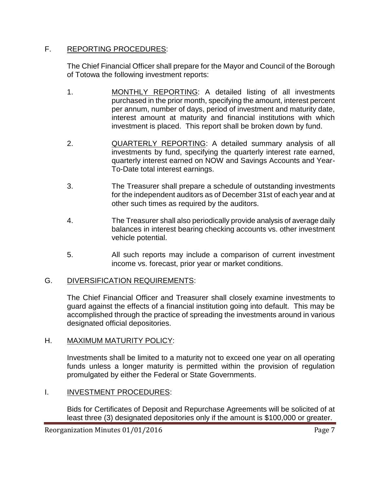# F. REPORTING PROCEDURES:

The Chief Financial Officer shall prepare for the Mayor and Council of the Borough of Totowa the following investment reports:

- 1. MONTHLY REPORTING: A detailed listing of all investments purchased in the prior month, specifying the amount, interest percent per annum, number of days, period of investment and maturity date, interest amount at maturity and financial institutions with which investment is placed. This report shall be broken down by fund.
- 2. QUARTERLY REPORTING: A detailed summary analysis of all investments by fund, specifying the quarterly interest rate earned, quarterly interest earned on NOW and Savings Accounts and Year-To-Date total interest earnings.
- 3. The Treasurer shall prepare a schedule of outstanding investments for the independent auditors as of December 31st of each year and at other such times as required by the auditors.
- 4. The Treasurer shall also periodically provide analysis of average daily balances in interest bearing checking accounts vs. other investment vehicle potential.
- 5. All such reports may include a comparison of current investment income vs. forecast, prior year or market conditions.

# G. DIVERSIFICATION REQUIREMENTS:

The Chief Financial Officer and Treasurer shall closely examine investments to guard against the effects of a financial institution going into default. This may be accomplished through the practice of spreading the investments around in various designated official depositories.

# H. MAXIMUM MATURITY POLICY:

Investments shall be limited to a maturity not to exceed one year on all operating funds unless a longer maturity is permitted within the provision of regulation promulgated by either the Federal or State Governments.

# I. **INVESTMENT PROCEDURES:**

Bids for Certificates of Deposit and Repurchase Agreements will be solicited of at least three (3) designated depositories only if the amount is \$100,000 or greater.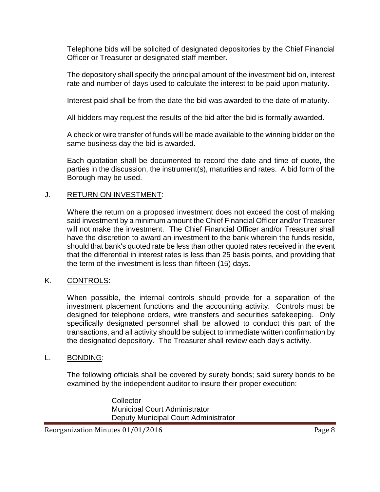Telephone bids will be solicited of designated depositories by the Chief Financial Officer or Treasurer or designated staff member.

The depository shall specify the principal amount of the investment bid on, interest rate and number of days used to calculate the interest to be paid upon maturity.

Interest paid shall be from the date the bid was awarded to the date of maturity.

All bidders may request the results of the bid after the bid is formally awarded.

A check or wire transfer of funds will be made available to the winning bidder on the same business day the bid is awarded.

Each quotation shall be documented to record the date and time of quote, the parties in the discussion, the instrument(s), maturities and rates. A bid form of the Borough may be used.

#### J. RETURN ON INVESTMENT:

Where the return on a proposed investment does not exceed the cost of making said investment by a minimum amount the Chief Financial Officer and/or Treasurer will not make the investment. The Chief Financial Officer and/or Treasurer shall have the discretion to award an investment to the bank wherein the funds reside, should that bank's quoted rate be less than other quoted rates received in the event that the differential in interest rates is less than 25 basis points, and providing that the term of the investment is less than fifteen (15) days.

# K. CONTROLS:

When possible, the internal controls should provide for a separation of the investment placement functions and the accounting activity. Controls must be designed for telephone orders, wire transfers and securities safekeeping. Only specifically designated personnel shall be allowed to conduct this part of the transactions, and all activity should be subject to immediate written confirmation by the designated depository. The Treasurer shall review each day's activity.

#### L. BONDING:

The following officials shall be covered by surety bonds; said surety bonds to be examined by the independent auditor to insure their proper execution:

> **Collector** Municipal Court Administrator Deputy Municipal Court Administrator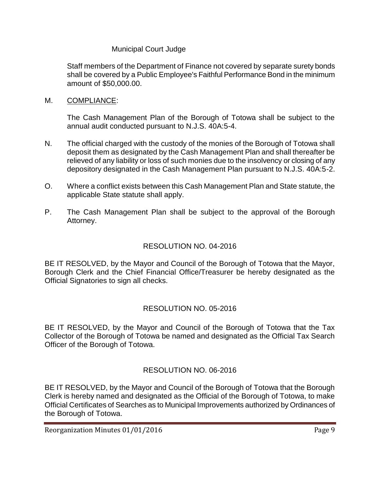### Municipal Court Judge

Staff members of the Department of Finance not covered by separate surety bonds shall be covered by a Public Employee's Faithful Performance Bond in the minimum amount of \$50,000.00.

M. COMPLIANCE:

The Cash Management Plan of the Borough of Totowa shall be subject to the annual audit conducted pursuant to N.J.S. 40A:5-4.

- N. The official charged with the custody of the monies of the Borough of Totowa shall deposit them as designated by the Cash Management Plan and shall thereafter be relieved of any liability or loss of such monies due to the insolvency or closing of any depository designated in the Cash Management Plan pursuant to N.J.S. 40A:5-2.
- O. Where a conflict exists between this Cash Management Plan and State statute, the applicable State statute shall apply.
- P. The Cash Management Plan shall be subject to the approval of the Borough Attorney.

# RESOLUTION NO. 04-2016

BE IT RESOLVED, by the Mayor and Council of the Borough of Totowa that the Mayor, Borough Clerk and the Chief Financial Office/Treasurer be hereby designated as the Official Signatories to sign all checks.

# RESOLUTION NO. 05-2016

BE IT RESOLVED, by the Mayor and Council of the Borough of Totowa that the Tax Collector of the Borough of Totowa be named and designated as the Official Tax Search Officer of the Borough of Totowa.

# RESOLUTION NO. 06-2016

BE IT RESOLVED, by the Mayor and Council of the Borough of Totowa that the Borough Clerk is hereby named and designated as the Official of the Borough of Totowa, to make Official Certificates of Searches as to Municipal Improvements authorized by Ordinances of the Borough of Totowa.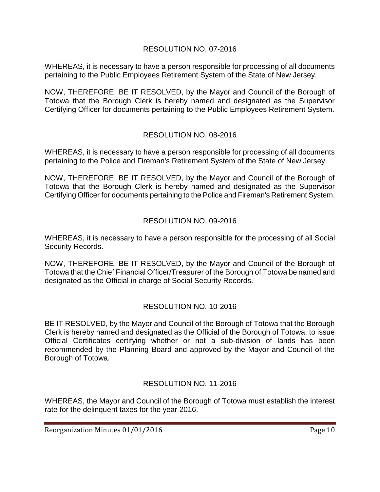# RESOLUTION NO. 07-2016

WHEREAS, it is necessary to have a person responsible for processing of all documents pertaining to the Public Employees Retirement System of the State of New Jersey.

NOW, THEREFORE, BE IT RESOLVED, by the Mayor and Council of the Borough of Totowa that the Borough Clerk is hereby named and designated as the Supervisor Certifying Officer for documents pertaining to the Public Employees Retirement System.

# RESOLUTION NO. 08-2016

WHEREAS, it is necessary to have a person responsible for processing of all documents pertaining to the Police and Fireman's Retirement System of the State of New Jersey.

NOW, THEREFORE, BE IT RESOLVED, by the Mayor and Council of the Borough of Totowa that the Borough Clerk is hereby named and designated as the Supervisor Certifying Officer for documents pertaining to the Police and Fireman's Retirement System.

# RESOLUTION NO. 09-2016

WHEREAS, it is necessary to have a person responsible for the processing of all Social Security Records.

NOW, THEREFORE, BE IT RESOLVED, by the Mayor and Council of the Borough of Totowa that the Chief Financial Officer/Treasurer of the Borough of Totowa be named and designated as the Official in charge of Social Security Records.

# RESOLUTION NO. 10-2016

BE IT RESOLVED, by the Mayor and Council of the Borough of Totowa that the Borough Clerk is hereby named and designated as the Official of the Borough of Totowa, to issue Official Certificates certifying whether or not a sub-division of lands has been recommended by the Planning Board and approved by the Mayor and Council of the Borough of Totowa.

# RESOLUTION NO. 11-2016

WHEREAS, the Mayor and Council of the Borough of Totowa must establish the interest rate for the delinquent taxes for the year 2016.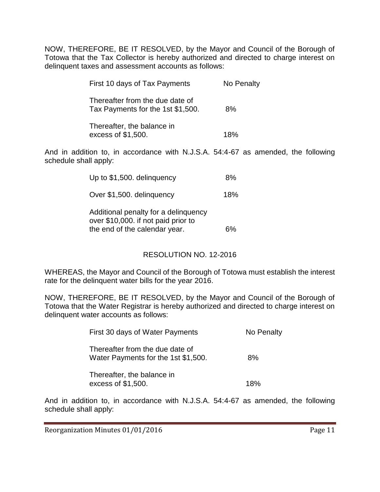NOW, THEREFORE, BE IT RESOLVED, by the Mayor and Council of the Borough of Totowa that the Tax Collector is hereby authorized and directed to charge interest on delinquent taxes and assessment accounts as follows:

| First 10 days of Tax Payments                                        | No Penalty |
|----------------------------------------------------------------------|------------|
| Thereafter from the due date of<br>Tax Payments for the 1st \$1,500. | 8%         |
| Thereafter, the balance in<br>excess of \$1,500.                     | 18%        |

And in addition to, in accordance with N.J.S.A. 54:4-67 as amended, the following schedule shall apply:

| Up to \$1,500. delinguency                                                                                   | 8%  |
|--------------------------------------------------------------------------------------------------------------|-----|
| Over \$1,500. delinquency                                                                                    | 18% |
| Additional penalty for a delinquency<br>over \$10,000. if not paid prior to<br>the end of the calendar year. |     |

# RESOLUTION NO. 12-2016

WHEREAS, the Mayor and Council of the Borough of Totowa must establish the interest rate for the delinquent water bills for the year 2016.

NOW, THEREFORE, BE IT RESOLVED, by the Mayor and Council of the Borough of Totowa that the Water Registrar is hereby authorized and directed to charge interest on delinquent water accounts as follows:

| First 30 days of Water Payments                                        | No Penalty |
|------------------------------------------------------------------------|------------|
| Thereafter from the due date of<br>Water Payments for the 1st \$1,500. | 8%         |
| Thereafter, the balance in<br>excess of \$1,500.                       | 18%        |

And in addition to, in accordance with N.J.S.A. 54:4-67 as amended, the following schedule shall apply: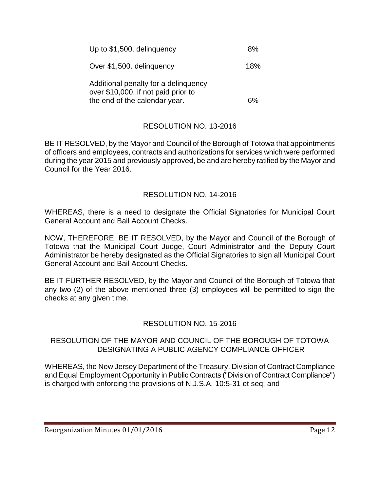| Up to \$1,500. delinguency                                                  | 8%  |
|-----------------------------------------------------------------------------|-----|
| Over \$1,500. delinguency                                                   | 18% |
| Additional penalty for a delinguency<br>over \$10,000. if not paid prior to |     |
| the end of the calendar year.                                               |     |

# RESOLUTION NO. 13-2016

BE IT RESOLVED, by the Mayor and Council of the Borough of Totowa that appointments of officers and employees, contracts and authorizations for services which were performed during the year 2015 and previously approved, be and are hereby ratified by the Mayor and Council for the Year 2016.

# RESOLUTION NO. 14-2016

WHEREAS, there is a need to designate the Official Signatories for Municipal Court General Account and Bail Account Checks.

NOW, THEREFORE, BE IT RESOLVED, by the Mayor and Council of the Borough of Totowa that the Municipal Court Judge, Court Administrator and the Deputy Court Administrator be hereby designated as the Official Signatories to sign all Municipal Court General Account and Bail Account Checks.

BE IT FURTHER RESOLVED, by the Mayor and Council of the Borough of Totowa that any two (2) of the above mentioned three (3) employees will be permitted to sign the checks at any given time.

# RESOLUTION NO. 15-2016

#### RESOLUTION OF THE MAYOR AND COUNCIL OF THE BOROUGH OF TOTOWA DESIGNATING A PUBLIC AGENCY COMPLIANCE OFFICER

WHEREAS, the New Jersey Department of the Treasury, Division of Contract Compliance and Equal Employment Opportunity in Public Contracts ("Division of Contract Compliance") is charged with enforcing the provisions of N.J.S.A. 10:5-31 et seq; and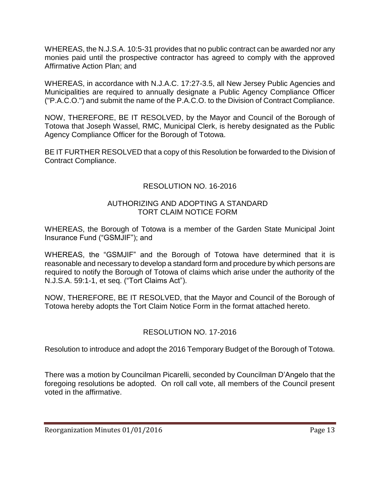WHEREAS, the N.J.S.A. 10:5-31 provides that no public contract can be awarded nor any monies paid until the prospective contractor has agreed to comply with the approved Affirmative Action Plan; and

WHEREAS, in accordance with N.J.A.C. 17:27-3.5, all New Jersey Public Agencies and Municipalities are required to annually designate a Public Agency Compliance Officer ("P.A.C.O.") and submit the name of the P.A.C.O. to the Division of Contract Compliance.

NOW, THEREFORE, BE IT RESOLVED, by the Mayor and Council of the Borough of Totowa that Joseph Wassel, RMC, Municipal Clerk, is hereby designated as the Public Agency Compliance Officer for the Borough of Totowa.

BE IT FURTHER RESOLVED that a copy of this Resolution be forwarded to the Division of Contract Compliance.

# RESOLUTION NO. 16-2016

#### AUTHORIZING AND ADOPTING A STANDARD TORT CLAIM NOTICE FORM

WHEREAS, the Borough of Totowa is a member of the Garden State Municipal Joint Insurance Fund ("GSMJIF"); and

WHEREAS, the "GSMJIF" and the Borough of Totowa have determined that it is reasonable and necessary to develop a standard form and procedure by which persons are required to notify the Borough of Totowa of claims which arise under the authority of the N.J.S.A. 59:1-1, et seq. ("Tort Claims Act").

NOW, THEREFORE, BE IT RESOLVED, that the Mayor and Council of the Borough of Totowa hereby adopts the Tort Claim Notice Form in the format attached hereto.

# RESOLUTION NO. 17-2016

Resolution to introduce and adopt the 2016 Temporary Budget of the Borough of Totowa.

There was a motion by Councilman Picarelli, seconded by Councilman D'Angelo that the foregoing resolutions be adopted. On roll call vote, all members of the Council present voted in the affirmative.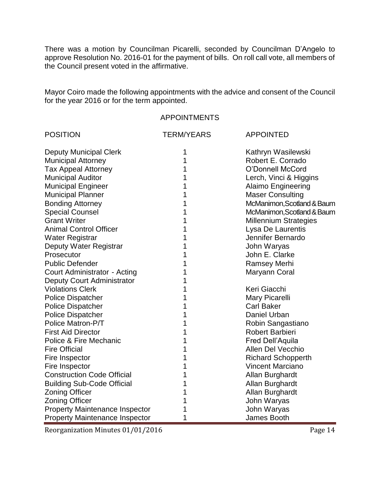There was a motion by Councilman Picarelli, seconded by Councilman D'Angelo to approve Resolution No. 2016-01 for the payment of bills. On roll call vote, all members of the Council present voted in the affirmative.

Mayor Coiro made the following appointments with the advice and consent of the Council for the year 2016 or for the term appointed.

#### APPOINTMENTS

| <b>POSITION</b>                       | <b>TERM/YEARS</b> | <b>APPOINTED</b>             |
|---------------------------------------|-------------------|------------------------------|
| <b>Deputy Municipal Clerk</b>         |                   | Kathryn Wasilewski           |
| <b>Municipal Attorney</b>             | 1                 | Robert E. Corrado            |
| <b>Tax Appeal Attorney</b>            |                   | O'Donnell McCord             |
| <b>Municipal Auditor</b>              |                   | Lerch, Vinci & Higgins       |
| <b>Municipal Engineer</b>             |                   | <b>Alaimo Engineering</b>    |
| <b>Municipal Planner</b>              |                   | <b>Maser Consulting</b>      |
| <b>Bonding Attorney</b>               |                   | McManimon, Scotland & Baum   |
| <b>Special Counsel</b>                |                   | McManimon, Scotland & Baum   |
| <b>Grant Writer</b>                   |                   | <b>Millennium Strategies</b> |
| <b>Animal Control Officer</b>         |                   | Lysa De Laurentis            |
| Water Registrar                       |                   | Jennifer Bernardo            |
| Deputy Water Registrar                |                   | John Waryas                  |
| Prosecutor                            |                   | John E. Clarke               |
| <b>Public Defender</b>                |                   | <b>Ramsey Merhi</b>          |
| Court Administrator - Acting          |                   | Maryann Coral                |
| Deputy Court Administrator            |                   |                              |
| <b>Violations Clerk</b>               |                   | Keri Giacchi                 |
| <b>Police Dispatcher</b>              |                   | Mary Picarelli               |
| <b>Police Dispatcher</b>              |                   | <b>Carl Baker</b>            |
| <b>Police Dispatcher</b>              |                   | Daniel Urban                 |
| Police Matron-P/T                     |                   | Robin Sangastiano            |
| <b>First Aid Director</b>             |                   | Robert Barbieri              |
| Police & Fire Mechanic                |                   | Fred Dell'Aquila             |
| <b>Fire Official</b>                  |                   | <b>Allen Del Vecchio</b>     |
| Fire Inspector                        |                   | <b>Richard Schopperth</b>    |
| Fire Inspector                        |                   | <b>Vincent Marciano</b>      |
| <b>Construction Code Official</b>     |                   | Allan Burghardt              |
| <b>Building Sub-Code Official</b>     |                   | Allan Burghardt              |
| <b>Zoning Officer</b>                 |                   | Allan Burghardt              |
| <b>Zoning Officer</b>                 |                   | John Waryas                  |
| <b>Property Maintenance Inspector</b> |                   | John Waryas                  |
| <b>Property Maintenance Inspector</b> | 1                 | James Booth                  |

Reorganization Minutes 01/01/2016 Page 14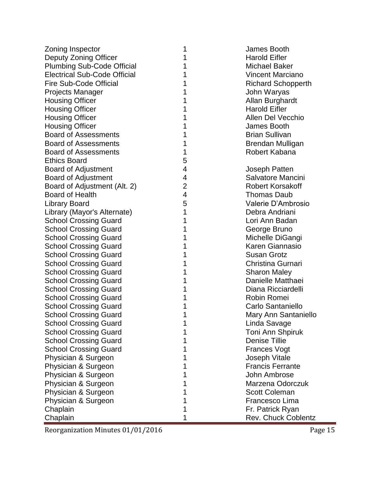| Zoning Inspector                    | 1              | James Booth               |
|-------------------------------------|----------------|---------------------------|
| Deputy Zoning Officer               | 1              | <b>Harold Eifler</b>      |
| <b>Plumbing Sub-Code Official</b>   | 1              | Michael Baker             |
| <b>Electrical Sub-Code Official</b> | 1              | <b>Vincent Marciano</b>   |
| <b>Fire Sub-Code Official</b>       | 1              | <b>Richard Schopperth</b> |
| <b>Projects Manager</b>             | 1              | John Waryas               |
| <b>Housing Officer</b>              | 1              | Allan Burghardt           |
| <b>Housing Officer</b>              | 1              | <b>Harold Eifler</b>      |
| <b>Housing Officer</b>              | 1              | Allen Del Vecchio         |
| <b>Housing Officer</b>              | 1              | James Booth               |
| <b>Board of Assessments</b>         | 1              | <b>Brian Sullivan</b>     |
| <b>Board of Assessments</b>         | 1              | Brendan Mulligan          |
| <b>Board of Assessments</b>         | 1              | Robert Kabana             |
| <b>Ethics Board</b>                 | 5              |                           |
| <b>Board of Adjustment</b>          | 4              | Joseph Patten             |
| <b>Board of Adjustment</b>          | 4              | Salvatore Mancini         |
| Board of Adjustment (Alt. 2)        | $\overline{2}$ | <b>Robert Korsakoff</b>   |
| <b>Board of Health</b>              | $\overline{4}$ | Thomas Daub               |
| <b>Library Board</b>                | 5              | Valerie D'Ambrosio        |
| Library (Mayor's Alternate)         | 1              | Debra Andriani            |
| <b>School Crossing Guard</b>        | 1              | Lori Ann Badan            |
| <b>School Crossing Guard</b>        | 1              | George Bruno              |
| <b>School Crossing Guard</b>        | 1              | Michelle DiGangi          |
| <b>School Crossing Guard</b>        | 1              | Karen Giannasio           |
| <b>School Crossing Guard</b>        | 1              | <b>Susan Grotz</b>        |
| <b>School Crossing Guard</b>        | 1              | Christina Gurnari         |
| <b>School Crossing Guard</b>        | 1              | <b>Sharon Maley</b>       |
| <b>School Crossing Guard</b>        | 1              | Danielle Matthaei         |
| <b>School Crossing Guard</b>        | 1              | Diana Ricciardelli        |
| <b>School Crossing Guard</b>        | 1              | Robin Romei               |
| <b>School Crossing Guard</b>        | 1              | Carlo Santaniello         |
| <b>School Crossing Guard</b>        | 1              | Mary Ann Santaniello      |
| <b>School Crossing Guard</b>        |                | Linda Savage              |
| <b>School Crossing Guard</b>        | 1              | Toni Ann Shpiruk          |
| <b>School Crossing Guard</b>        |                | <b>Denise Tillie</b>      |
| <b>School Crossing Guard</b>        | 1              | <b>Frances Vogt</b>       |
| Physician & Surgeon                 | 1              | <b>Joseph Vitale</b>      |
| Physician & Surgeon                 | 1              | <b>Francis Ferrante</b>   |
| Physician & Surgeon                 | 1              | John Ambrose              |
| Physician & Surgeon                 | 1              | Marzena Odorczuk          |
| Physician & Surgeon                 | 1              | <b>Scott Coleman</b>      |
| Physician & Surgeon                 | 1              | Francesco Lima            |
| Chaplain                            | 1              | Fr. Patrick Ryan          |
| Chaplain                            | 1              | Rev. Chuck Coblentz       |

Reorganization Minutes 01/01/2016 Page 15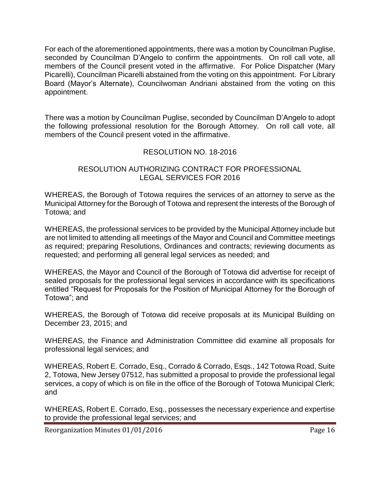For each of the aforementioned appointments, there was a motion by Councilman Puglise, seconded by Councilman D'Angelo to confirm the appointments. On roll call vote, all members of the Council present voted in the affirmative. For Police Dispatcher (Mary Picarelli), Councilman Picarelli abstained from the voting on this appointment. For Library Board (Mayor's Alternate), Councilwoman Andriani abstained from the voting on this appointment.

There was a motion by Councilman Puglise, seconded by Councilman D'Angelo to adopt the following professional resolution for the Borough Attorney. On roll call vote, all members of the Council present voted in the affirmative.

# RESOLUTION NO. 18-2016

#### RESOLUTION AUTHORIZING CONTRACT FOR PROFESSIONAL LEGAL SERVICES FOR 2016

WHEREAS, the Borough of Totowa requires the services of an attorney to serve as the Municipal Attorney for the Borough of Totowa and represent the interests of the Borough of Totowa; and

WHEREAS, the professional services to be provided by the Municipal Attorney include but are not limited to attending all meetings of the Mayor and Council and Committee meetings as required; preparing Resolutions, Ordinances and contracts; reviewing documents as requested; and performing all general legal services as needed; and

WHEREAS, the Mayor and Council of the Borough of Totowa did advertise for receipt of sealed proposals for the professional legal services in accordance with its specifications entitled "Request for Proposals for the Position of Municipal Attorney for the Borough of Totowa"; and

WHEREAS, the Borough of Totowa did receive proposals at its Municipal Building on December 23, 2015; and

WHEREAS, the Finance and Administration Committee did examine all proposals for professional legal services; and

WHEREAS, Robert E. Corrado, Esq., Corrado & Corrado, Esqs., 142 Totowa Road, Suite 2, Totowa, New Jersey 07512, has submitted a proposal to provide the professional legal services, a copy of which is on file in the office of the Borough of Totowa Municipal Clerk; and

WHEREAS, Robert E. Corrado, Esq., possesses the necessary experience and expertise to provide the professional legal services; and

Reorganization Minutes 01/01/2016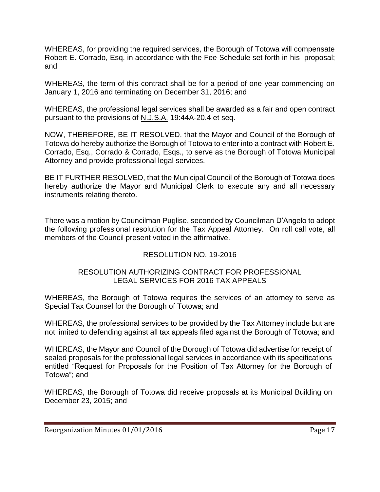WHEREAS, for providing the required services, the Borough of Totowa will compensate Robert E. Corrado, Esq. in accordance with the Fee Schedule set forth in his proposal; and

WHEREAS, the term of this contract shall be for a period of one year commencing on January 1, 2016 and terminating on December 31, 2016; and

WHEREAS, the professional legal services shall be awarded as a fair and open contract pursuant to the provisions of N.J.S.A. 19:44A-20.4 et seq.

NOW, THEREFORE, BE IT RESOLVED, that the Mayor and Council of the Borough of Totowa do hereby authorize the Borough of Totowa to enter into a contract with Robert E. Corrado, Esq., Corrado & Corrado, Esqs., to serve as the Borough of Totowa Municipal Attorney and provide professional legal services.

BE IT FURTHER RESOLVED, that the Municipal Council of the Borough of Totowa does hereby authorize the Mayor and Municipal Clerk to execute any and all necessary instruments relating thereto.

There was a motion by Councilman Puglise, seconded by Councilman D'Angelo to adopt the following professional resolution for the Tax Appeal Attorney. On roll call vote, all members of the Council present voted in the affirmative.

# RESOLUTION NO. 19-2016

# RESOLUTION AUTHORIZING CONTRACT FOR PROFESSIONAL LEGAL SERVICES FOR 2016 TAX APPEALS

WHEREAS, the Borough of Totowa requires the services of an attorney to serve as Special Tax Counsel for the Borough of Totowa; and

WHEREAS, the professional services to be provided by the Tax Attorney include but are not limited to defending against all tax appeals filed against the Borough of Totowa; and

WHEREAS, the Mayor and Council of the Borough of Totowa did advertise for receipt of sealed proposals for the professional legal services in accordance with its specifications entitled "Request for Proposals for the Position of Tax Attorney for the Borough of Totowa"; and

WHEREAS, the Borough of Totowa did receive proposals at its Municipal Building on December 23, 2015; and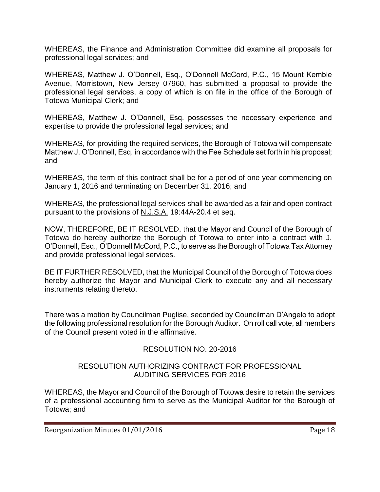WHEREAS, the Finance and Administration Committee did examine all proposals for professional legal services; and

WHEREAS, Matthew J. O'Donnell, Esq., O'Donnell McCord, P.C., 15 Mount Kemble Avenue, Morristown, New Jersey 07960, has submitted a proposal to provide the professional legal services, a copy of which is on file in the office of the Borough of Totowa Municipal Clerk; and

WHEREAS, Matthew J. O'Donnell, Esq. possesses the necessary experience and expertise to provide the professional legal services; and

WHEREAS, for providing the required services, the Borough of Totowa will compensate Matthew J. O'Donnell, Esq. in accordance with the Fee Schedule set forth in his proposal; and

WHEREAS, the term of this contract shall be for a period of one year commencing on January 1, 2016 and terminating on December 31, 2016; and

WHEREAS, the professional legal services shall be awarded as a fair and open contract pursuant to the provisions of N.J.S.A. 19:44A-20.4 et seq.

NOW, THEREFORE, BE IT RESOLVED, that the Mayor and Council of the Borough of Totowa do hereby authorize the Borough of Totowa to enter into a contract with J. O'Donnell, Esq., O'Donnell McCord, P.C., to serve as the Borough of Totowa Tax Attorney and provide professional legal services.

BE IT FURTHER RESOLVED, that the Municipal Council of the Borough of Totowa does hereby authorize the Mayor and Municipal Clerk to execute any and all necessary instruments relating thereto.

There was a motion by Councilman Puglise, seconded by Councilman D'Angelo to adopt the following professional resolution for the Borough Auditor. On roll call vote, all members of the Council present voted in the affirmative.

# RESOLUTION NO. 20-2016

#### RESOLUTION AUTHORIZING CONTRACT FOR PROFESSIONAL AUDITING SERVICES FOR 2016

WHEREAS, the Mayor and Council of the Borough of Totowa desire to retain the services of a professional accounting firm to serve as the Municipal Auditor for the Borough of Totowa; and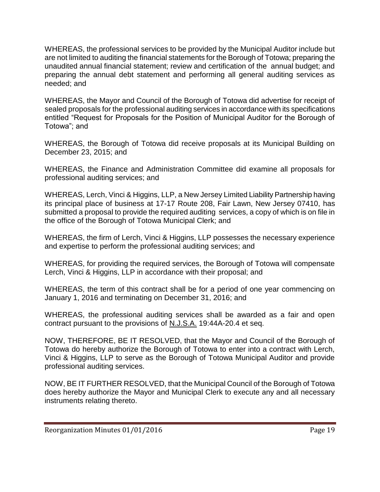WHEREAS, the professional services to be provided by the Municipal Auditor include but are not limited to auditing the financial statements for the Borough of Totowa; preparing the unaudited annual financial statement; review and certification of the annual budget; and preparing the annual debt statement and performing all general auditing services as needed; and

WHEREAS, the Mayor and Council of the Borough of Totowa did advertise for receipt of sealed proposals for the professional auditing services in accordance with its specifications entitled "Request for Proposals for the Position of Municipal Auditor for the Borough of Totowa"; and

WHEREAS, the Borough of Totowa did receive proposals at its Municipal Building on December 23, 2015; and

WHEREAS, the Finance and Administration Committee did examine all proposals for professional auditing services; and

WHEREAS, Lerch, Vinci & Higgins, LLP, a New Jersey Limited Liability Partnership having its principal place of business at 17-17 Route 208, Fair Lawn, New Jersey 07410, has submitted a proposal to provide the required auditing services, a copy of which is on file in the office of the Borough of Totowa Municipal Clerk; and

WHEREAS, the firm of Lerch, Vinci & Higgins, LLP possesses the necessary experience and expertise to perform the professional auditing services; and

WHEREAS, for providing the required services, the Borough of Totowa will compensate Lerch, Vinci & Higgins, LLP in accordance with their proposal; and

WHEREAS, the term of this contract shall be for a period of one year commencing on January 1, 2016 and terminating on December 31, 2016; and

WHEREAS, the professional auditing services shall be awarded as a fair and open contract pursuant to the provisions of N.J.S.A. 19:44A-20.4 et seq.

NOW, THEREFORE, BE IT RESOLVED, that the Mayor and Council of the Borough of Totowa do hereby authorize the Borough of Totowa to enter into a contract with Lerch, Vinci & Higgins, LLP to serve as the Borough of Totowa Municipal Auditor and provide professional auditing services.

NOW, BE IT FURTHER RESOLVED, that the Municipal Council of the Borough of Totowa does hereby authorize the Mayor and Municipal Clerk to execute any and all necessary instruments relating thereto.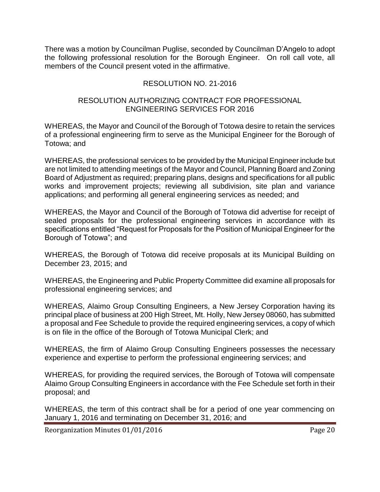There was a motion by Councilman Puglise, seconded by Councilman D'Angelo to adopt the following professional resolution for the Borough Engineer. On roll call vote, all members of the Council present voted in the affirmative.

# RESOLUTION NO. 21-2016

#### RESOLUTION AUTHORIZING CONTRACT FOR PROFESSIONAL ENGINEERING SERVICES FOR 2016

WHEREAS, the Mayor and Council of the Borough of Totowa desire to retain the services of a professional engineering firm to serve as the Municipal Engineer for the Borough of Totowa; and

WHEREAS, the professional services to be provided by the Municipal Engineer include but are not limited to attending meetings of the Mayor and Council, Planning Board and Zoning Board of Adjustment as required; preparing plans, designs and specifications for all public works and improvement projects; reviewing all subdivision, site plan and variance applications; and performing all general engineering services as needed; and

WHEREAS, the Mayor and Council of the Borough of Totowa did advertise for receipt of sealed proposals for the professional engineering services in accordance with its specifications entitled "Request for Proposals for the Position of Municipal Engineer for the Borough of Totowa"; and

WHEREAS, the Borough of Totowa did receive proposals at its Municipal Building on December 23, 2015; and

WHEREAS, the Engineering and Public Property Committee did examine all proposals for professional engineering services; and

WHEREAS, Alaimo Group Consulting Engineers, a New Jersey Corporation having its principal place of business at 200 High Street, Mt. Holly, New Jersey 08060, has submitted a proposal and Fee Schedule to provide the required engineering services, a copy of which is on file in the office of the Borough of Totowa Municipal Clerk; and

WHEREAS, the firm of Alaimo Group Consulting Engineers possesses the necessary experience and expertise to perform the professional engineering services; and

WHEREAS, for providing the required services, the Borough of Totowa will compensate Alaimo Group Consulting Engineers in accordance with the Fee Schedule set forth in their proposal; and

WHEREAS, the term of this contract shall be for a period of one year commencing on January 1, 2016 and terminating on December 31, 2016; and

Reorganization Minutes 01/01/2016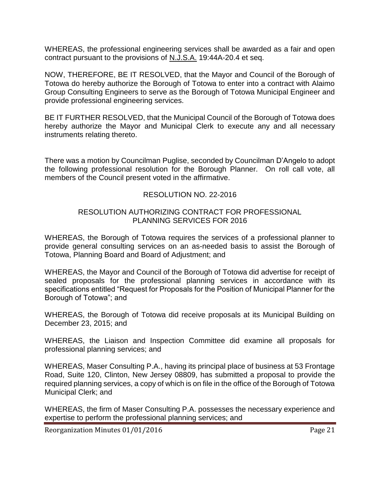WHEREAS, the professional engineering services shall be awarded as a fair and open contract pursuant to the provisions of N.J.S.A. 19:44A-20.4 et seq.

NOW, THEREFORE, BE IT RESOLVED, that the Mayor and Council of the Borough of Totowa do hereby authorize the Borough of Totowa to enter into a contract with Alaimo Group Consulting Engineers to serve as the Borough of Totowa Municipal Engineer and provide professional engineering services.

BE IT FURTHER RESOLVED, that the Municipal Council of the Borough of Totowa does hereby authorize the Mayor and Municipal Clerk to execute any and all necessary instruments relating thereto.

There was a motion by Councilman Puglise, seconded by Councilman D'Angelo to adopt the following professional resolution for the Borough Planner. On roll call vote, all members of the Council present voted in the affirmative.

#### RESOLUTION NO. 22-2016

#### RESOLUTION AUTHORIZING CONTRACT FOR PROFESSIONAL PLANNING SERVICES FOR 2016

WHEREAS, the Borough of Totowa requires the services of a professional planner to provide general consulting services on an as-needed basis to assist the Borough of Totowa, Planning Board and Board of Adjustment; and

WHEREAS, the Mayor and Council of the Borough of Totowa did advertise for receipt of sealed proposals for the professional planning services in accordance with its specifications entitled "Request for Proposals for the Position of Municipal Planner for the Borough of Totowa"; and

WHEREAS, the Borough of Totowa did receive proposals at its Municipal Building on December 23, 2015; and

WHEREAS, the Liaison and Inspection Committee did examine all proposals for professional planning services; and

WHEREAS, Maser Consulting P.A., having its principal place of business at 53 Frontage Road, Suite 120, Clinton, New Jersey 08809, has submitted a proposal to provide the required planning services, a copy of which is on file in the office of the Borough of Totowa Municipal Clerk; and

WHEREAS, the firm of Maser Consulting P.A. possesses the necessary experience and expertise to perform the professional planning services; and

Reorganization Minutes 01/01/2016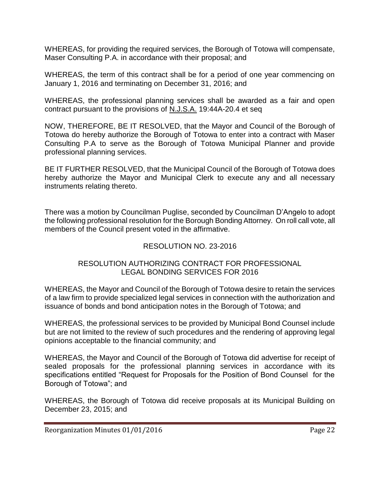WHEREAS, for providing the required services, the Borough of Totowa will compensate, Maser Consulting P.A. in accordance with their proposal; and

WHEREAS, the term of this contract shall be for a period of one year commencing on January 1, 2016 and terminating on December 31, 2016; and

WHEREAS, the professional planning services shall be awarded as a fair and open contract pursuant to the provisions of N.J.S.A. 19:44A-20.4 et seq

NOW, THEREFORE, BE IT RESOLVED, that the Mayor and Council of the Borough of Totowa do hereby authorize the Borough of Totowa to enter into a contract with Maser Consulting P.A to serve as the Borough of Totowa Municipal Planner and provide professional planning services.

BE IT FURTHER RESOLVED, that the Municipal Council of the Borough of Totowa does hereby authorize the Mayor and Municipal Clerk to execute any and all necessary instruments relating thereto.

There was a motion by Councilman Puglise, seconded by Councilman D'Angelo to adopt the following professional resolution for the Borough Bonding Attorney. On roll call vote, all members of the Council present voted in the affirmative.

# RESOLUTION NO. 23-2016

#### RESOLUTION AUTHORIZING CONTRACT FOR PROFESSIONAL LEGAL BONDING SERVICES FOR 2016

WHEREAS, the Mayor and Council of the Borough of Totowa desire to retain the services of a law firm to provide specialized legal services in connection with the authorization and issuance of bonds and bond anticipation notes in the Borough of Totowa; and

WHEREAS, the professional services to be provided by Municipal Bond Counsel include but are not limited to the review of such procedures and the rendering of approving legal opinions acceptable to the financial community; and

WHEREAS, the Mayor and Council of the Borough of Totowa did advertise for receipt of sealed proposals for the professional planning services in accordance with its specifications entitled "Request for Proposals for the Position of Bond Counsel for the Borough of Totowa"; and

WHEREAS, the Borough of Totowa did receive proposals at its Municipal Building on December 23, 2015; and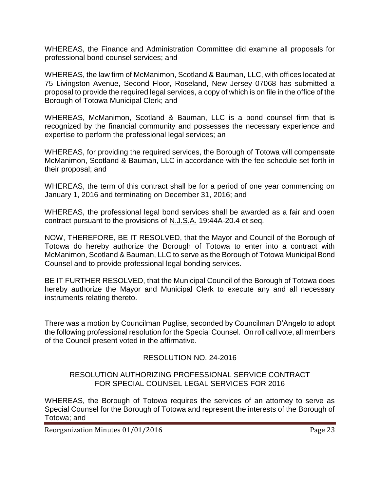WHEREAS, the Finance and Administration Committee did examine all proposals for professional bond counsel services; and

WHEREAS, the law firm of McManimon, Scotland & Bauman, LLC, with offices located at 75 Livingston Avenue, Second Floor, Roseland, New Jersey 07068 has submitted a proposal to provide the required legal services, a copy of which is on file in the office of the Borough of Totowa Municipal Clerk; and

WHEREAS, McManimon, Scotland & Bauman, LLC is a bond counsel firm that is recognized by the financial community and possesses the necessary experience and expertise to perform the professional legal services; an

WHEREAS, for providing the required services, the Borough of Totowa will compensate McManimon, Scotland & Bauman, LLC in accordance with the fee schedule set forth in their proposal; and

WHEREAS, the term of this contract shall be for a period of one year commencing on January 1, 2016 and terminating on December 31, 2016; and

WHEREAS, the professional legal bond services shall be awarded as a fair and open contract pursuant to the provisions of N.J.S.A. 19:44A-20.4 et seq.

NOW, THEREFORE, BE IT RESOLVED, that the Mayor and Council of the Borough of Totowa do hereby authorize the Borough of Totowa to enter into a contract with McManimon, Scotland & Bauman, LLC to serve as the Borough of Totowa Municipal Bond Counsel and to provide professional legal bonding services.

BE IT FURTHER RESOLVED, that the Municipal Council of the Borough of Totowa does hereby authorize the Mayor and Municipal Clerk to execute any and all necessary instruments relating thereto.

There was a motion by Councilman Puglise, seconded by Councilman D'Angelo to adopt the following professional resolution for the Special Counsel. On roll call vote, all members of the Council present voted in the affirmative.

# RESOLUTION NO. 24-2016

#### RESOLUTION AUTHORIZING PROFESSIONAL SERVICE CONTRACT FOR SPECIAL COUNSEL LEGAL SERVICES FOR 2016

WHEREAS, the Borough of Totowa requires the services of an attorney to serve as Special Counsel for the Borough of Totowa and represent the interests of the Borough of Totowa; and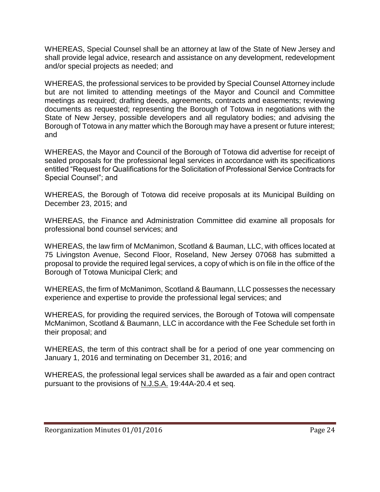WHEREAS, Special Counsel shall be an attorney at law of the State of New Jersey and shall provide legal advice, research and assistance on any development, redevelopment and/or special projects as needed; and

WHEREAS, the professional services to be provided by Special Counsel Attorney include but are not limited to attending meetings of the Mayor and Council and Committee meetings as required; drafting deeds, agreements, contracts and easements; reviewing documents as requested; representing the Borough of Totowa in negotiations with the State of New Jersey, possible developers and all regulatory bodies; and advising the Borough of Totowa in any matter which the Borough may have a present or future interest; and

WHEREAS, the Mayor and Council of the Borough of Totowa did advertise for receipt of sealed proposals for the professional legal services in accordance with its specifications entitled "Request for Qualifications for the Solicitation of Professional Service Contracts for Special Counsel"; and

WHEREAS, the Borough of Totowa did receive proposals at its Municipal Building on December 23, 2015; and

WHEREAS, the Finance and Administration Committee did examine all proposals for professional bond counsel services; and

WHEREAS, the law firm of McManimon, Scotland & Bauman, LLC, with offices located at 75 Livingston Avenue, Second Floor, Roseland, New Jersey 07068 has submitted a proposal to provide the required legal services, a copy of which is on file in the office of the Borough of Totowa Municipal Clerk; and

WHEREAS, the firm of McManimon, Scotland & Baumann, LLC possesses the necessary experience and expertise to provide the professional legal services; and

WHEREAS, for providing the required services, the Borough of Totowa will compensate McManimon, Scotland & Baumann, LLC in accordance with the Fee Schedule set forth in their proposal; and

WHEREAS, the term of this contract shall be for a period of one year commencing on January 1, 2016 and terminating on December 31, 2016; and

WHEREAS, the professional legal services shall be awarded as a fair and open contract pursuant to the provisions of N.J.S.A. 19:44A-20.4 et seq.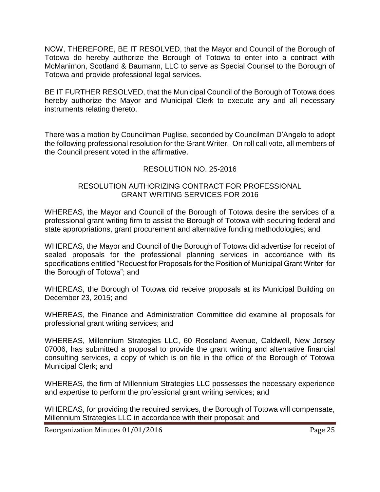NOW, THEREFORE, BE IT RESOLVED, that the Mayor and Council of the Borough of Totowa do hereby authorize the Borough of Totowa to enter into a contract with McManimon, Scotland & Baumann, LLC to serve as Special Counsel to the Borough of Totowa and provide professional legal services.

BE IT FURTHER RESOLVED, that the Municipal Council of the Borough of Totowa does hereby authorize the Mayor and Municipal Clerk to execute any and all necessary instruments relating thereto.

There was a motion by Councilman Puglise, seconded by Councilman D'Angelo to adopt the following professional resolution for the Grant Writer. On roll call vote, all members of the Council present voted in the affirmative.

# RESOLUTION NO. 25-2016

#### RESOLUTION AUTHORIZING CONTRACT FOR PROFESSIONAL GRANT WRITING SERVICES FOR 2016

WHEREAS, the Mayor and Council of the Borough of Totowa desire the services of a professional grant writing firm to assist the Borough of Totowa with securing federal and state appropriations, grant procurement and alternative funding methodologies; and

WHEREAS, the Mayor and Council of the Borough of Totowa did advertise for receipt of sealed proposals for the professional planning services in accordance with its specifications entitled "Request for Proposals for the Position of Municipal Grant Writer for the Borough of Totowa"; and

WHEREAS, the Borough of Totowa did receive proposals at its Municipal Building on December 23, 2015; and

WHEREAS, the Finance and Administration Committee did examine all proposals for professional grant writing services; and

WHEREAS, Millennium Strategies LLC, 60 Roseland Avenue, Caldwell, New Jersey 07006, has submitted a proposal to provide the grant writing and alternative financial consulting services, a copy of which is on file in the office of the Borough of Totowa Municipal Clerk; and

WHEREAS, the firm of Millennium Strategies LLC possesses the necessary experience and expertise to perform the professional grant writing services; and

WHEREAS, for providing the required services, the Borough of Totowa will compensate, Millennium Strategies LLC in accordance with their proposal; and

Reorganization Minutes 01/01/2016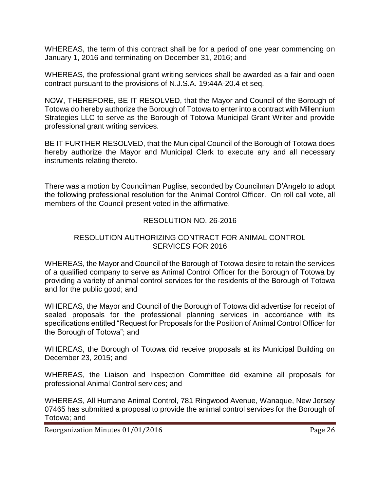WHEREAS, the term of this contract shall be for a period of one year commencing on January 1, 2016 and terminating on December 31, 2016; and

WHEREAS, the professional grant writing services shall be awarded as a fair and open contract pursuant to the provisions of N.J.S.A. 19:44A-20.4 et seq.

NOW, THEREFORE, BE IT RESOLVED, that the Mayor and Council of the Borough of Totowa do hereby authorize the Borough of Totowa to enter into a contract with Millennium Strategies LLC to serve as the Borough of Totowa Municipal Grant Writer and provide professional grant writing services.

BE IT FURTHER RESOLVED, that the Municipal Council of the Borough of Totowa does hereby authorize the Mayor and Municipal Clerk to execute any and all necessary instruments relating thereto.

There was a motion by Councilman Puglise, seconded by Councilman D'Angelo to adopt the following professional resolution for the Animal Control Officer. On roll call vote, all members of the Council present voted in the affirmative.

# RESOLUTION NO. 26-2016

### RESOLUTION AUTHORIZING CONTRACT FOR ANIMAL CONTROL SERVICES FOR 2016

WHEREAS, the Mayor and Council of the Borough of Totowa desire to retain the services of a qualified company to serve as Animal Control Officer for the Borough of Totowa by providing a variety of animal control services for the residents of the Borough of Totowa and for the public good; and

WHEREAS, the Mayor and Council of the Borough of Totowa did advertise for receipt of sealed proposals for the professional planning services in accordance with its specifications entitled "Request for Proposals for the Position of Animal Control Officer for the Borough of Totowa"; and

WHEREAS, the Borough of Totowa did receive proposals at its Municipal Building on December 23, 2015; and

WHEREAS, the Liaison and Inspection Committee did examine all proposals for professional Animal Control services; and

WHEREAS, All Humane Animal Control, 781 Ringwood Avenue, Wanaque, New Jersey 07465 has submitted a proposal to provide the animal control services for the Borough of Totowa; and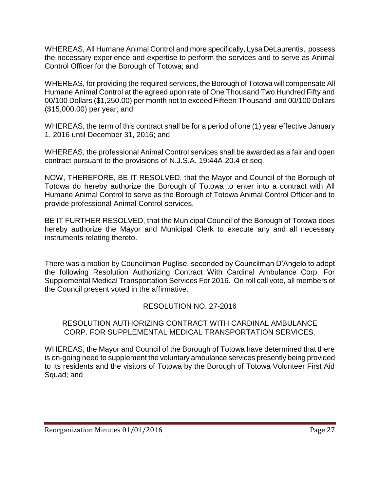WHEREAS, All Humane Animal Control and more specifically, Lysa DeLaurentis, possess the necessary experience and expertise to perform the services and to serve as Animal Control Officer for the Borough of Totowa; and

WHEREAS, for providing the required services, the Borough of Totowa will compensate All Humane Animal Control at the agreed upon rate of One Thousand Two Hundred Fifty and 00/100 Dollars (\$1,250.00) per month not to exceed Fifteen Thousand and 00/100 Dollars (\$15,000.00) per year; and

WHEREAS, the term of this contract shall be for a period of one (1) year effective January 1, 2016 until December 31, 2016; and

WHEREAS, the professional Animal Control services shall be awarded as a fair and open contract pursuant to the provisions of N.J.S.A. 19:44A-20.4 et seq.

NOW, THEREFORE, BE IT RESOLVED, that the Mayor and Council of the Borough of Totowa do hereby authorize the Borough of Totowa to enter into a contract with All Humane Animal Control to serve as the Borough of Totowa Animal Control Officer and to provide professional Animal Control services.

BE IT FURTHER RESOLVED, that the Municipal Council of the Borough of Totowa does hereby authorize the Mayor and Municipal Clerk to execute any and all necessary instruments relating thereto.

There was a motion by Councilman Puglise, seconded by Councilman D'Angelo to adopt the following Resolution Authorizing Contract With Cardinal Ambulance Corp. For Supplemental Medical Transportation Services For 2016. On roll call vote, all members of the Council present voted in the affirmative.

# RESOLUTION NO. 27-2016

#### RESOLUTION AUTHORIZING CONTRACT WITH CARDINAL AMBULANCE CORP. FOR SUPPLEMENTAL MEDICAL TRANSPORTATION SERVICES.

WHEREAS, the Mayor and Council of the Borough of Totowa have determined that there is on-going need to supplement the voluntary ambulance services presently being provided to its residents and the visitors of Totowa by the Borough of Totowa Volunteer First Aid Squad; and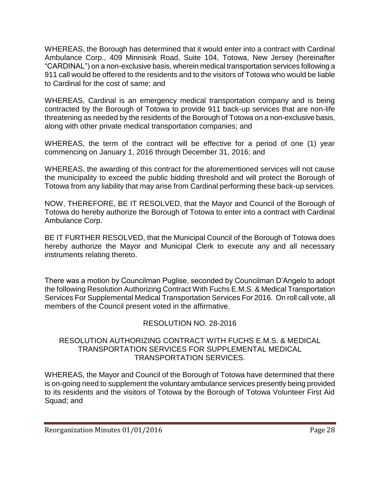WHEREAS, the Borough has determined that it would enter into a contract with Cardinal Ambulance Corp., 409 Minnisink Road, Suite 104, Totowa, New Jersey (hereinafter "CARDINAL") on a non-exclusive basis, wherein medical transportation services following a 911 call would be offered to the residents and to the visitors of Totowa who would be liable to Cardinal for the cost of same; and

WHEREAS, Cardinal is an emergency medical transportation company and is being contracted by the Borough of Totowa to provide 911 back-up services that are non-life threatening as needed by the residents of the Borough of Totowa on a non-exclusive basis, along with other private medical transportation companies; and

WHEREAS, the term of the contract will be effective for a period of one (1) year commencing on January 1, 2016 through December 31, 2016; and

WHEREAS, the awarding of this contract for the aforementioned services will not cause the municipality to exceed the public bidding threshold and will protect the Borough of Totowa from any liability that may arise from Cardinal performing these back-up services.

NOW, THEREFORE, BE IT RESOLVED, that the Mayor and Council of the Borough of Totowa do hereby authorize the Borough of Totowa to enter into a contract with Cardinal Ambulance Corp.

BE IT FURTHER RESOLVED, that the Municipal Council of the Borough of Totowa does hereby authorize the Mayor and Municipal Clerk to execute any and all necessary instruments relating thereto.

There was a motion by Councilman Puglise, seconded by Councilman D'Angelo to adopt the following Resolution Authorizing Contract With Fuchs E.M.S. & Medical Transportation Services For Supplemental Medical Transportation Services For 2016. On roll call vote, all members of the Council present voted in the affirmative.

# RESOLUTION NO. 28-2016

#### RESOLUTION AUTHORIZING CONTRACT WITH FUCHS E.M.S. & MEDICAL TRANSPORTATION SERVICES FOR SUPPLEMENTAL MEDICAL TRANSPORTATION SERVICES.

WHEREAS, the Mayor and Council of the Borough of Totowa have determined that there is on-going need to supplement the voluntary ambulance services presently being provided to its residents and the visitors of Totowa by the Borough of Totowa Volunteer First Aid Squad; and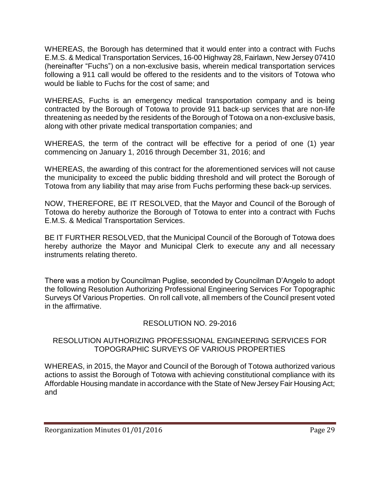WHEREAS, the Borough has determined that it would enter into a contract with Fuchs E.M.S. & Medical Transportation Services, 16-00 Highway 28, Fairlawn, New Jersey 07410 (hereinafter "Fuchs") on a non-exclusive basis, wherein medical transportation services following a 911 call would be offered to the residents and to the visitors of Totowa who would be liable to Fuchs for the cost of same; and

WHEREAS, Fuchs is an emergency medical transportation company and is being contracted by the Borough of Totowa to provide 911 back-up services that are non-life threatening as needed by the residents of the Borough of Totowa on a non-exclusive basis, along with other private medical transportation companies; and

WHEREAS, the term of the contract will be effective for a period of one (1) year commencing on January 1, 2016 through December 31, 2016; and

WHEREAS, the awarding of this contract for the aforementioned services will not cause the municipality to exceed the public bidding threshold and will protect the Borough of Totowa from any liability that may arise from Fuchs performing these back-up services.

NOW, THEREFORE, BE IT RESOLVED, that the Mayor and Council of the Borough of Totowa do hereby authorize the Borough of Totowa to enter into a contract with Fuchs E.M.S. & Medical Transportation Services.

BE IT FURTHER RESOLVED, that the Municipal Council of the Borough of Totowa does hereby authorize the Mayor and Municipal Clerk to execute any and all necessary instruments relating thereto.

There was a motion by Councilman Puglise, seconded by Councilman D'Angelo to adopt the following Resolution Authorizing Professional Engineering Services For Topographic Surveys Of Various Properties. On roll call vote, all members of the Council present voted in the affirmative.

# RESOLUTION NO. 29-2016

#### RESOLUTION AUTHORIZING PROFESSIONAL ENGINEERING SERVICES FOR TOPOGRAPHIC SURVEYS OF VARIOUS PROPERTIES

WHEREAS, in 2015, the Mayor and Council of the Borough of Totowa authorized various actions to assist the Borough of Totowa with achieving constitutional compliance with its Affordable Housing mandate in accordance with the State of New Jersey Fair Housing Act; and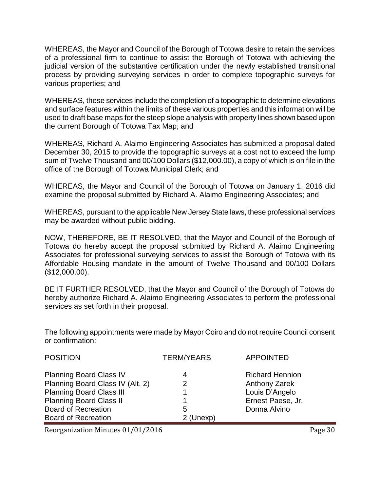WHEREAS, the Mayor and Council of the Borough of Totowa desire to retain the services of a professional firm to continue to assist the Borough of Totowa with achieving the judicial version of the substantive certification under the newly established transitional process by providing surveying services in order to complete topographic surveys for various properties; and

WHEREAS, these services include the completion of a topographic to determine elevations and surface features within the limits of these various properties and this information will be used to draft base maps for the steep slope analysis with property lines shown based upon the current Borough of Totowa Tax Map; and

WHEREAS, Richard A. Alaimo Engineering Associates has submitted a proposal dated December 30, 2015 to provide the topographic surveys at a cost not to exceed the lump sum of Twelve Thousand and 00/100 Dollars (\$12,000.00), a copy of which is on file in the office of the Borough of Totowa Municipal Clerk; and

WHEREAS, the Mayor and Council of the Borough of Totowa on January 1, 2016 did examine the proposal submitted by Richard A. Alaimo Engineering Associates; and

WHEREAS, pursuant to the applicable New Jersey State laws, these professional services may be awarded without public bidding.

NOW, THEREFORE, BE IT RESOLVED, that the Mayor and Council of the Borough of Totowa do hereby accept the proposal submitted by Richard A. Alaimo Engineering Associates for professional surveying services to assist the Borough of Totowa with its Affordable Housing mandate in the amount of Twelve Thousand and 00/100 Dollars (\$12,000.00).

BE IT FURTHER RESOLVED, that the Mayor and Council of the Borough of Totowa do hereby authorize Richard A. Alaimo Engineering Associates to perform the professional services as set forth in their proposal.

The following appointments were made by Mayor Coiro and do not require Council consent or confirmation:

| <b>POSITION</b>                  | <b>TERM/YEARS</b> | <b>APPOINTED</b>       |
|----------------------------------|-------------------|------------------------|
| <b>Planning Board Class IV</b>   | 4                 | <b>Richard Hennion</b> |
| Planning Board Class IV (Alt. 2) | 2                 | <b>Anthony Zarek</b>   |
| <b>Planning Board Class III</b>  |                   | Louis D'Angelo         |
| <b>Planning Board Class II</b>   |                   | Ernest Paese, Jr.      |
| <b>Board of Recreation</b>       | 5                 | Donna Alvino           |
| <b>Board of Recreation</b>       | 2 (Unexp)         |                        |

Reorganization Minutes 01/01/2016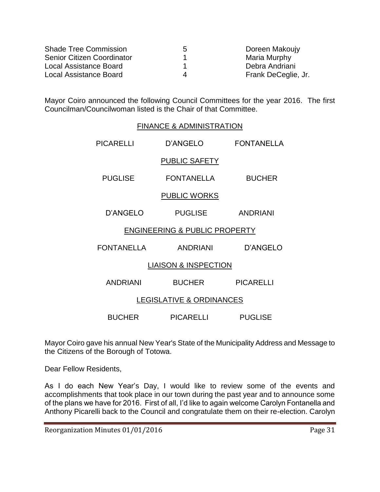| <b>Shade Tree Commission</b> | 5 | Doreen Makoujy      |
|------------------------------|---|---------------------|
| Senior Citizen Coordinator   |   | Maria Murphy        |
| Local Assistance Board       |   | Debra Andriani      |
| Local Assistance Board       |   | Frank DeCeglie, Jr. |

Mayor Coiro announced the following Council Committees for the year 2016. The first Councilman/Councilwoman listed is the Chair of that Committee.

# FINANCE & ADMINISTRATION PICARELLI D'ANGELO FONTANELLA PUBLIC SAFETY PUGLISE FONTANELLA BUCHER PUBLIC WORKS D'ANGELO PUGLISE ANDRIANI ENGINEERING & PUBLIC PROPERTY FONTANELLA ANDRIANI D'ANGELO LIAISON & INSPECTION ANDRIANI BUCHER PICARELLI LEGISLATIVE & ORDINANCES BUCHER PICARELLI PUGLISE

Mayor Coiro gave his annual New Year's State of the Municipality Address and Message to the Citizens of the Borough of Totowa.

Dear Fellow Residents,

As I do each New Year's Day, I would like to review some of the events and accomplishments that took place in our town during the past year and to announce some of the plans we have for 2016. First of all, I'd like to again welcome Carolyn Fontanella and Anthony Picarelli back to the Council and congratulate them on their re-election. Carolyn

Reorganization Minutes 01/01/2016 **Page 31**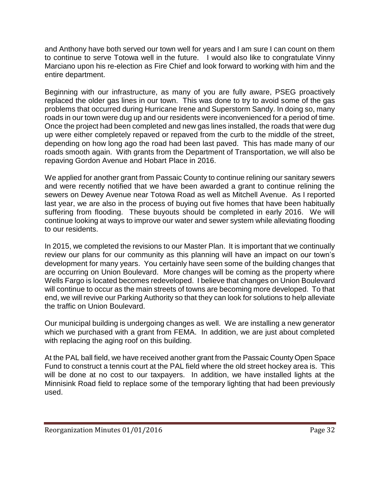and Anthony have both served our town well for years and I am sure I can count on them to continue to serve Totowa well in the future. I would also like to congratulate Vinny Marciano upon his re-election as Fire Chief and look forward to working with him and the entire department.

Beginning with our infrastructure, as many of you are fully aware, PSEG proactively replaced the older gas lines in our town. This was done to try to avoid some of the gas problems that occurred during Hurricane Irene and Superstorm Sandy. In doing so, many roads in our town were dug up and our residents were inconvenienced for a period of time. Once the project had been completed and new gas lines installed, the roads that were dug up were either completely repaved or repaved from the curb to the middle of the street, depending on how long ago the road had been last paved. This has made many of our roads smooth again. With grants from the Department of Transportation, we will also be repaving Gordon Avenue and Hobart Place in 2016.

We applied for another grant from Passaic County to continue relining our sanitary sewers and were recently notified that we have been awarded a grant to continue relining the sewers on Dewey Avenue near Totowa Road as well as Mitchell Avenue. As I reported last year, we are also in the process of buying out five homes that have been habitually suffering from flooding. These buyouts should be completed in early 2016. We will continue looking at ways to improve our water and sewer system while alleviating flooding to our residents.

In 2015, we completed the revisions to our Master Plan. It is important that we continually review our plans for our community as this planning will have an impact on our town's development for many years. You certainly have seen some of the building changes that are occurring on Union Boulevard. More changes will be coming as the property where Wells Fargo is located becomes redeveloped. I believe that changes on Union Boulevard will continue to occur as the main streets of towns are becoming more developed. To that end, we will revive our Parking Authority so that they can look for solutions to help alleviate the traffic on Union Boulevard.

Our municipal building is undergoing changes as well. We are installing a new generator which we purchased with a grant from FEMA. In addition, we are just about completed with replacing the aging roof on this building.

At the PAL ball field, we have received another grant from the Passaic County Open Space Fund to construct a tennis court at the PAL field where the old street hockey area is. This will be done at no cost to our taxpayers. In addition, we have installed lights at the Minnisink Road field to replace some of the temporary lighting that had been previously used.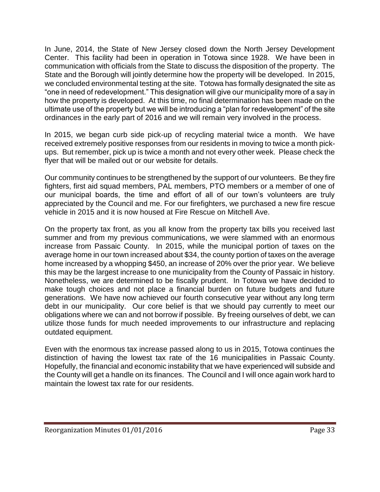In June, 2014, the State of New Jersey closed down the North Jersey Development Center. This facility had been in operation in Totowa since 1928. We have been in communication with officials from the State to discuss the disposition of the property. The State and the Borough will jointly determine how the property will be developed. In 2015, we concluded environmental testing at the site. Totowa has formally designated the site as "one in need of redevelopment." This designation will give our municipality more of a say in how the property is developed. At this time, no final determination has been made on the ultimate use of the property but we will be introducing a "plan for redevelopment" of the site ordinances in the early part of 2016 and we will remain very involved in the process.

In 2015, we began curb side pick-up of recycling material twice a month. We have received extremely positive responses from our residents in moving to twice a month pickups. But remember, pick up is twice a month and not every other week. Please check the flyer that will be mailed out or our website for details.

Our community continues to be strengthened by the support of our volunteers. Be they fire fighters, first aid squad members, PAL members, PTO members or a member of one of our municipal boards, the time and effort of all of our town's volunteers are truly appreciated by the Council and me. For our firefighters, we purchased a new fire rescue vehicle in 2015 and it is now housed at Fire Rescue on Mitchell Ave.

On the property tax front, as you all know from the property tax bills you received last summer and from my previous communications, we were slammed with an enormous increase from Passaic County. In 2015, while the municipal portion of taxes on the average home in our town increased about \$34, the county portion of taxes on the average home increased by a whopping \$450, an increase of 20% over the prior year. We believe this may be the largest increase to one municipality from the County of Passaic in history. Nonetheless, we are determined to be fiscally prudent. In Totowa we have decided to make tough choices and not place a financial burden on future budgets and future generations. We have now achieved our fourth consecutive year without any long term debt in our municipality. Our core belief is that we should pay currently to meet our obligations where we can and not borrow if possible. By freeing ourselves of debt, we can utilize those funds for much needed improvements to our infrastructure and replacing outdated equipment.

Even with the enormous tax increase passed along to us in 2015, Totowa continues the distinction of having the lowest tax rate of the 16 municipalities in Passaic County. Hopefully, the financial and economic instability that we have experienced will subside and the County will get a handle on its finances. The Council and I will once again work hard to maintain the lowest tax rate for our residents.